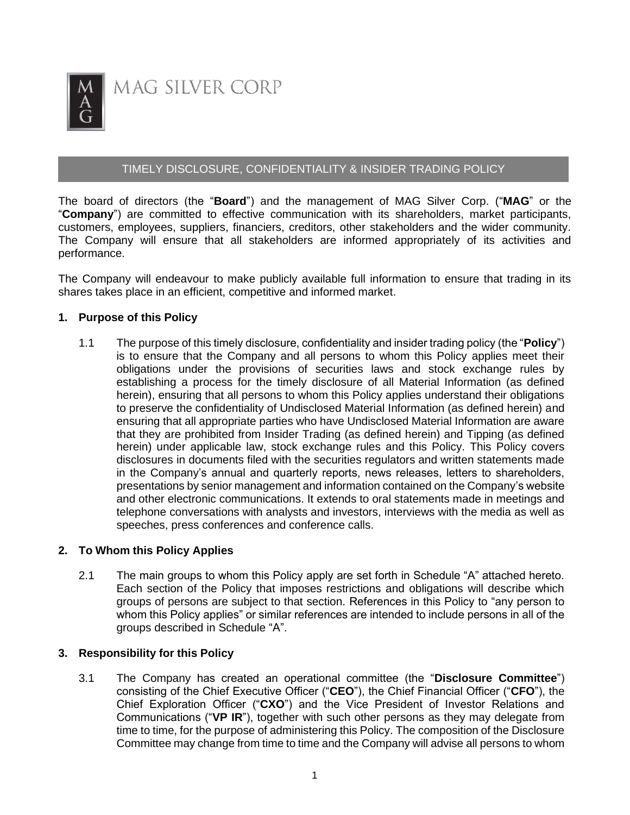

MAG SILVER CORP

# TIMELY DISCLOSURE, CONFIDENTIALITY & INSIDER TRADING POLICY

The board of directors (the "**Board**") and the management of MAG Silver Corp. ("**MAG**" or the "**Company**") are committed to effective communication with its shareholders, market participants, customers, employees, suppliers, financiers, creditors, other stakeholders and the wider community. The Company will ensure that all stakeholders are informed appropriately of its activities and performance.

The Company will endeavour to make publicly available full information to ensure that trading in its shares takes place in an efficient, competitive and informed market.

## **1. Purpose of this Policy**

1.1 The purpose of this timely disclosure, confidentiality and insider trading policy (the "**Policy**") is to ensure that the Company and all persons to whom this Policy applies meet their obligations under the provisions of securities laws and stock exchange rules by establishing a process for the timely disclosure of all Material Information (as defined herein), ensuring that all persons to whom this Policy applies understand their obligations to preserve the confidentiality of Undisclosed Material Information (as defined herein) and ensuring that all appropriate parties who have Undisclosed Material Information are aware that they are prohibited from Insider Trading (as defined herein) and Tipping (as defined herein) under applicable law, stock exchange rules and this Policy. This Policy covers disclosures in documents filed with the securities regulators and written statements made in the Company's annual and quarterly reports, news releases, letters to shareholders, presentations by senior management and information contained on the Company's website and other electronic communications. It extends to oral statements made in meetings and telephone conversations with analysts and investors, interviews with the media as well as speeches, press conferences and conference calls.

#### **2. To Whom this Policy Applies**

2.1 The main groups to whom this Policy apply are set forth in Schedule "A" attached hereto. Each section of the Policy that imposes restrictions and obligations will describe which groups of persons are subject to that section. References in this Policy to "any person to whom this Policy applies" or similar references are intended to include persons in all of the groups described in Schedule "A".

#### **3. Responsibility for this Policy**

3.1 The Company has created an operational committee (the "**Disclosure Committee**") consisting of the Chief Executive Officer ("**CEO**"), the Chief Financial Officer ("**CFO**"), the Chief Exploration Officer ("**CXO**") and the Vice President of Investor Relations and Communications ("**VP IR**"), together with such other persons as they may delegate from time to time, for the purpose of administering this Policy. The composition of the Disclosure Committee may change from time to time and the Company will advise all persons to whom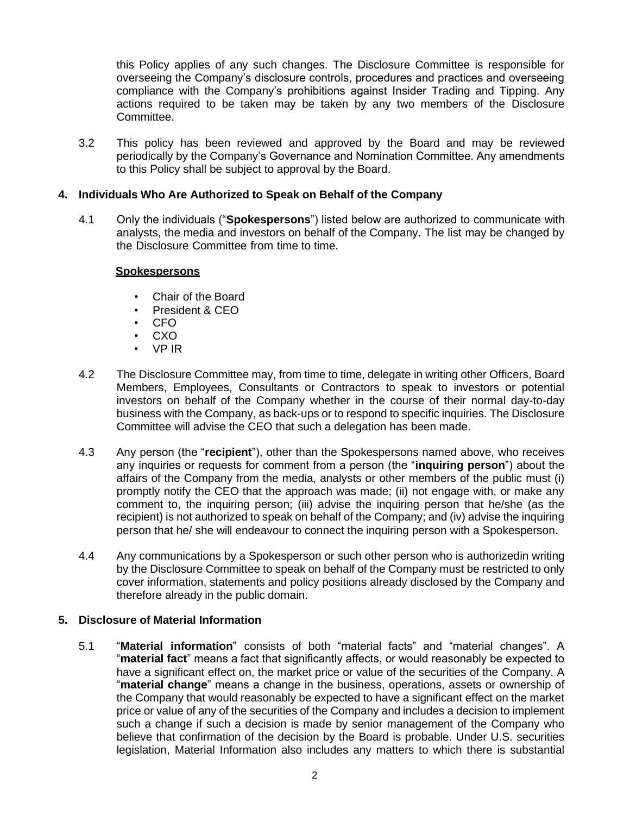this Policy applies of any such changes. The Disclosure Committee is responsible for overseeing the Company's disclosure controls, procedures and practices and overseeing compliance with the Company's prohibitions against Insider Trading and Tipping. Any actions required to be taken may be taken by any two members of the Disclosure Committee.

3.2 This policy has been reviewed and approved by the Board and may be reviewed periodically by the Company's Governance and Nomination Committee. Any amendments to this Policy shall be subject to approval by the Board.

# **4. Individuals Who Are Authorized to Speak on Behalf of the Company**

4.1 Only the individuals ("**Spokespersons**") listed below are authorized to communicate with analysts, the media and investors on behalf of the Company. The list may be changed by the Disclosure Committee from time to time.

#### **Spokespersons**

- Chair of the Board
- President & CEO
- CFO
- CXO
- VP IR
- 4.2 The Disclosure Committee may, from time to time, delegate in writing other Officers, Board Members, Employees, Consultants or Contractors to speak to investors or potential investors on behalf of the Company whether in the course of their normal day-to-day business with the Company, as back-ups or to respond to specific inquiries. The Disclosure Committee will advise the CEO that such a delegation has been made.
- 4.3 Any person (the "**recipient**"), other than the Spokespersons named above, who receives any inquiries or requests for comment from a person (the "**inquiring person**") about the affairs of the Company from the media, analysts or other members of the public must (i) promptly notify the CEO that the approach was made; (ii) not engage with, or make any comment to, the inquiring person; (iii) advise the inquiring person that he/she (as the recipient) is not authorized to speak on behalf of the Company; and (iv) advise the inquiring person that he/ she will endeavour to connect the inquiring person with a Spokesperson.
- 4.4 Any communications by a Spokesperson or such other person who is authorizedin writing by the Disclosure Committee to speak on behalf of the Company must be restricted to only cover information, statements and policy positions already disclosed by the Company and therefore already in the public domain.

# **5. Disclosure of Material Information**

5.1 "**Material information**" consists of both "material facts" and "material changes". A "**material fact**" means a fact that significantly affects, or would reasonably be expected to have a significant effect on, the market price or value of the securities of the Company. A "**material change**" means a change in the business, operations, assets or ownership of the Company that would reasonably be expected to have a significant effect on the market price or value of any of the securities of the Company and includes a decision to implement such a change if such a decision is made by senior management of the Company who believe that confirmation of the decision by the Board is probable. Under U.S. securities legislation, Material Information also includes any matters to which there is substantial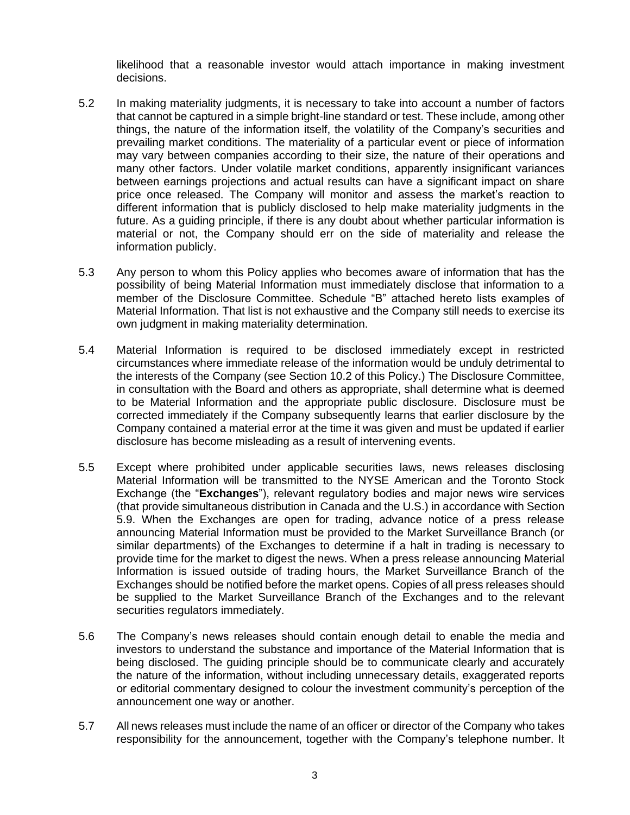likelihood that a reasonable investor would attach importance in making investment decisions.

- 5.2 In making materiality judgments, it is necessary to take into account a number of factors that cannot be captured in a simple bright-line standard or test. These include, among other things, the nature of the information itself, the volatility of the Company's securities and prevailing market conditions. The materiality of a particular event or piece of information may vary between companies according to their size, the nature of their operations and many other factors. Under volatile market conditions, apparently insignificant variances between earnings projections and actual results can have a significant impact on share price once released. The Company will monitor and assess the market's reaction to different information that is publicly disclosed to help make materiality judgments in the future. As a guiding principle, if there is any doubt about whether particular information is material or not, the Company should err on the side of materiality and release the information publicly.
- 5.3 Any person to whom this Policy applies who becomes aware of information that has the possibility of being Material Information must immediately disclose that information to a member of the Disclosure Committee. Schedule "B" attached hereto lists examples of Material Information. That list is not exhaustive and the Company still needs to exercise its own judgment in making materiality determination.
- 5.4 Material Information is required to be disclosed immediately except in restricted circumstances where immediate release of the information would be unduly detrimental to the interests of the Company (see Section 10.2 of this Policy.) The Disclosure Committee, in consultation with the Board and others as appropriate, shall determine what is deemed to be Material Information and the appropriate public disclosure. Disclosure must be corrected immediately if the Company subsequently learns that earlier disclosure by the Company contained a material error at the time it was given and must be updated if earlier disclosure has become misleading as a result of intervening events.
- 5.5 Except where prohibited under applicable securities laws, news releases disclosing Material Information will be transmitted to the NYSE American and the Toronto Stock Exchange (the "**Exchanges**"), relevant regulatory bodies and major news wire services (that provide simultaneous distribution in Canada and the U.S.) in accordance with Section 5.9. When the Exchanges are open for trading, advance notice of a press release announcing Material Information must be provided to the Market Surveillance Branch (or similar departments) of the Exchanges to determine if a halt in trading is necessary to provide time for the market to digest the news. When a press release announcing Material Information is issued outside of trading hours, the Market Surveillance Branch of the Exchanges should be notified before the market opens. Copies of all press releases should be supplied to the Market Surveillance Branch of the Exchanges and to the relevant securities regulators immediately.
- 5.6 The Company's news releases should contain enough detail to enable the media and investors to understand the substance and importance of the Material Information that is being disclosed. The guiding principle should be to communicate clearly and accurately the nature of the information, without including unnecessary details, exaggerated reports or editorial commentary designed to colour the investment community's perception of the announcement one way or another.
- 5.7 All news releases must include the name of an officer or director of the Company who takes responsibility for the announcement, together with the Company's telephone number. It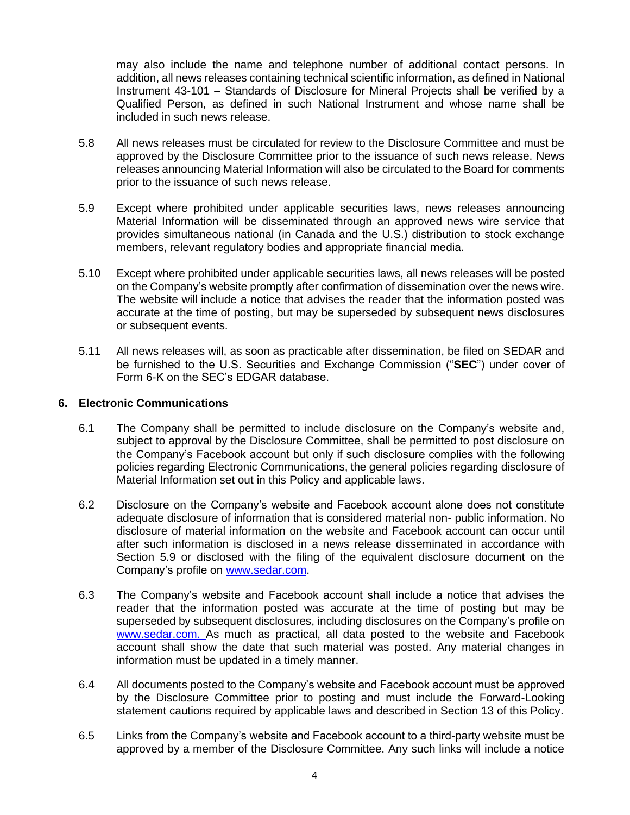may also include the name and telephone number of additional contact persons. In addition, all news releases containing technical scientific information, as defined in National Instrument 43-101 – Standards of Disclosure for Mineral Projects shall be verified by a Qualified Person, as defined in such National Instrument and whose name shall be included in such news release.

- 5.8 All news releases must be circulated for review to the Disclosure Committee and must be approved by the Disclosure Committee prior to the issuance of such news release. News releases announcing Material Information will also be circulated to the Board for comments prior to the issuance of such news release.
- 5.9 Except where prohibited under applicable securities laws, news releases announcing Material Information will be disseminated through an approved news wire service that provides simultaneous national (in Canada and the U.S.) distribution to stock exchange members, relevant regulatory bodies and appropriate financial media.
- 5.10 Except where prohibited under applicable securities laws, all news releases will be posted on the Company's website promptly after confirmation of dissemination over the news wire. The website will include a notice that advises the reader that the information posted was accurate at the time of posting, but may be superseded by subsequent news disclosures or subsequent events.
- 5.11 All news releases will, as soon as practicable after dissemination, be filed on SEDAR and be furnished to the U.S. Securities and Exchange Commission ("**SEC**") under cover of Form 6-K on the SEC's EDGAR database.

## **6. Electronic Communications**

- 6.1 The Company shall be permitted to include disclosure on the Company's website and, subject to approval by the Disclosure Committee, shall be permitted to post disclosure on the Company's Facebook account but only if such disclosure complies with the following policies regarding Electronic Communications, the general policies regarding disclosure of Material Information set out in this Policy and applicable laws.
- 6.2 Disclosure on the Company's website and Facebook account alone does not constitute adequate disclosure of information that is considered material non- public information. No disclosure of material information on the website and Facebook account can occur until after such information is disclosed in a news release disseminated in accordance with Section 5.9 or disclosed with the filing of the equivalent disclosure document on the Company's profile on [www.sedar.com.](http://www.sedar.com/)
- 6.3 The Company's website and Facebook account shall include a notice that advises the reader that the information posted was accurate at the time of posting but may be superseded by subsequent disclosures, including disclosures on the Company's profile on [www.sedar.com. A](http://www.sedar.com/)s much as practical, all data posted to the website and Facebook account shall show the date that such material was posted. Any material changes in information must be updated in a timely manner.
- 6.4 All documents posted to the Company's website and Facebook account must be approved by the Disclosure Committee prior to posting and must include the Forward-Looking statement cautions required by applicable laws and described in Section 13 of this Policy.
- 6.5 Links from the Company's website and Facebook account to a third-party website must be approved by a member of the Disclosure Committee. Any such links will include a notice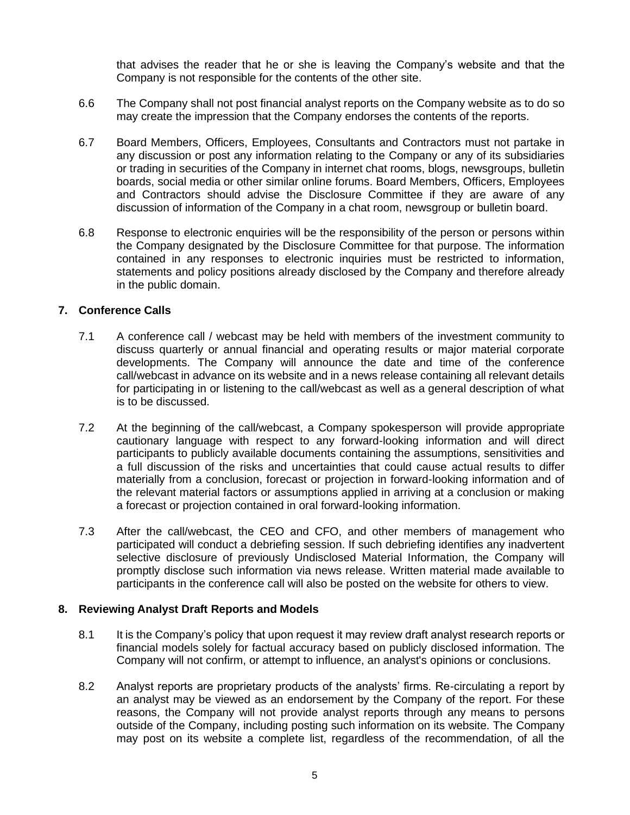that advises the reader that he or she is leaving the Company's website and that the Company is not responsible for the contents of the other site.

- 6.6 The Company shall not post financial analyst reports on the Company website as to do so may create the impression that the Company endorses the contents of the reports.
- 6.7 Board Members, Officers, Employees, Consultants and Contractors must not partake in any discussion or post any information relating to the Company or any of its subsidiaries or trading in securities of the Company in internet chat rooms, blogs, newsgroups, bulletin boards, social media or other similar online forums. Board Members, Officers, Employees and Contractors should advise the Disclosure Committee if they are aware of any discussion of information of the Company in a chat room, newsgroup or bulletin board.
- 6.8 Response to electronic enquiries will be the responsibility of the person or persons within the Company designated by the Disclosure Committee for that purpose. The information contained in any responses to electronic inquiries must be restricted to information, statements and policy positions already disclosed by the Company and therefore already in the public domain.

#### **7. Conference Calls**

- 7.1 A conference call / webcast may be held with members of the investment community to discuss quarterly or annual financial and operating results or major material corporate developments. The Company will announce the date and time of the conference call/webcast in advance on its website and in a news release containing all relevant details for participating in or listening to the call/webcast as well as a general description of what is to be discussed.
- 7.2 At the beginning of the call/webcast, a Company spokesperson will provide appropriate cautionary language with respect to any forward-looking information and will direct participants to publicly available documents containing the assumptions, sensitivities and a full discussion of the risks and uncertainties that could cause actual results to differ materially from a conclusion, forecast or projection in forward-looking information and of the relevant material factors or assumptions applied in arriving at a conclusion or making a forecast or projection contained in oral forward-looking information.
- 7.3 After the call/webcast, the CEO and CFO, and other members of management who participated will conduct a debriefing session. If such debriefing identifies any inadvertent selective disclosure of previously Undisclosed Material Information, the Company will promptly disclose such information via news release. Written material made available to participants in the conference call will also be posted on the website for others to view.

#### **8. Reviewing Analyst Draft Reports and Models**

- 8.1 It is the Company's policy that upon request it may review draft analyst research reports or financial models solely for factual accuracy based on publicly disclosed information. The Company will not confirm, or attempt to influence, an analyst's opinions or conclusions.
- 8.2 Analyst reports are proprietary products of the analysts' firms. Re-circulating a report by an analyst may be viewed as an endorsement by the Company of the report. For these reasons, the Company will not provide analyst reports through any means to persons outside of the Company, including posting such information on its website. The Company may post on its website a complete list, regardless of the recommendation, of all the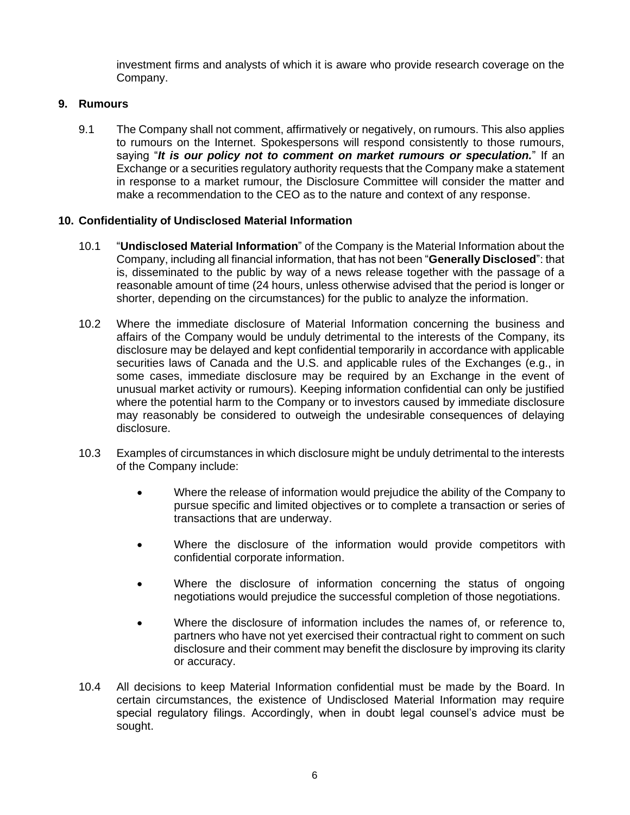investment firms and analysts of which it is aware who provide research coverage on the Company.

# **9. Rumours**

9.1 The Company shall not comment, affirmatively or negatively, on rumours. This also applies to rumours on the Internet. Spokespersons will respond consistently to those rumours, saying "*It is our policy not to comment on market rumours or speculation.*" If an Exchange or a securities regulatory authority requests that the Company make a statement in response to a market rumour, the Disclosure Committee will consider the matter and make a recommendation to the CEO as to the nature and context of any response.

# **10. Confidentiality of Undisclosed Material Information**

- 10.1 "**Undisclosed Material Information**" of the Company is the Material Information about the Company, including all financial information, that has not been "**Generally Disclosed**": that is, disseminated to the public by way of a news release together with the passage of a reasonable amount of time (24 hours, unless otherwise advised that the period is longer or shorter, depending on the circumstances) for the public to analyze the information.
- 10.2 Where the immediate disclosure of Material Information concerning the business and affairs of the Company would be unduly detrimental to the interests of the Company, its disclosure may be delayed and kept confidential temporarily in accordance with applicable securities laws of Canada and the U.S. and applicable rules of the Exchanges (e.g., in some cases, immediate disclosure may be required by an Exchange in the event of unusual market activity or rumours). Keeping information confidential can only be justified where the potential harm to the Company or to investors caused by immediate disclosure may reasonably be considered to outweigh the undesirable consequences of delaying disclosure.
- 10.3 Examples of circumstances in which disclosure might be unduly detrimental to the interests of the Company include:
	- Where the release of information would prejudice the ability of the Company to pursue specific and limited objectives or to complete a transaction or series of transactions that are underway.
	- Where the disclosure of the information would provide competitors with confidential corporate information.
	- Where the disclosure of information concerning the status of ongoing negotiations would prejudice the successful completion of those negotiations.
	- Where the disclosure of information includes the names of, or reference to, partners who have not yet exercised their contractual right to comment on such disclosure and their comment may benefit the disclosure by improving its clarity or accuracy.
- 10.4 All decisions to keep Material Information confidential must be made by the Board. In certain circumstances, the existence of Undisclosed Material Information may require special regulatory filings. Accordingly, when in doubt legal counsel's advice must be sought.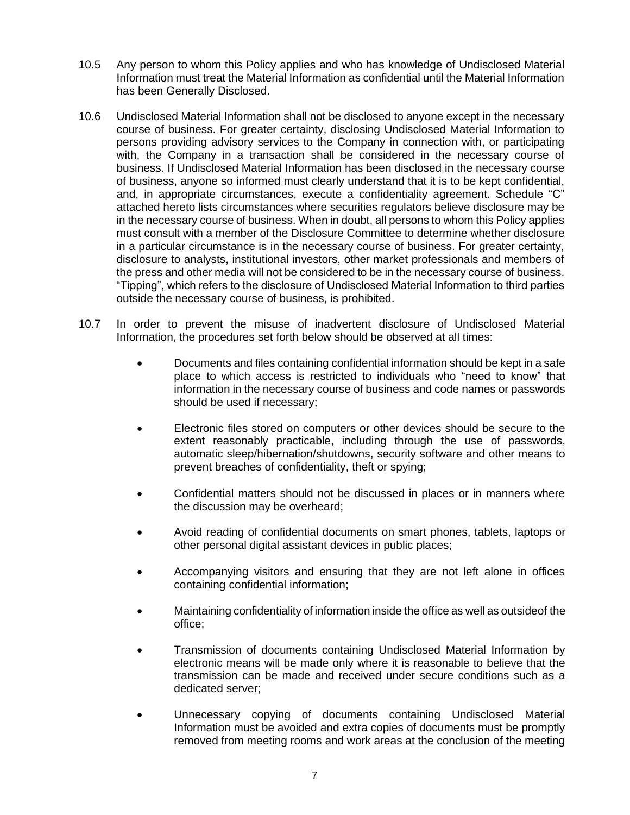- 10.5 Any person to whom this Policy applies and who has knowledge of Undisclosed Material Information must treat the Material Information as confidential until the Material Information has been Generally Disclosed.
- 10.6 Undisclosed Material Information shall not be disclosed to anyone except in the necessary course of business. For greater certainty, disclosing Undisclosed Material Information to persons providing advisory services to the Company in connection with, or participating with, the Company in a transaction shall be considered in the necessary course of business. If Undisclosed Material Information has been disclosed in the necessary course of business, anyone so informed must clearly understand that it is to be kept confidential, and, in appropriate circumstances, execute a confidentiality agreement. Schedule "C" attached hereto lists circumstances where securities regulators believe disclosure may be in the necessary course of business. When in doubt, all persons to whom this Policy applies must consult with a member of the Disclosure Committee to determine whether disclosure in a particular circumstance is in the necessary course of business. For greater certainty, disclosure to analysts, institutional investors, other market professionals and members of the press and other media will not be considered to be in the necessary course of business. "Tipping", which refers to the disclosure of Undisclosed Material Information to third parties outside the necessary course of business, is prohibited.
- 10.7 In order to prevent the misuse of inadvertent disclosure of Undisclosed Material Information, the procedures set forth below should be observed at all times:
	- Documents and files containing confidential information should be kept in a safe place to which access is restricted to individuals who "need to know" that information in the necessary course of business and code names or passwords should be used if necessary;
	- Electronic files stored on computers or other devices should be secure to the extent reasonably practicable, including through the use of passwords, automatic sleep/hibernation/shutdowns, security software and other means to prevent breaches of confidentiality, theft or spying;
	- Confidential matters should not be discussed in places or in manners where the discussion may be overheard;
	- Avoid reading of confidential documents on smart phones, tablets, laptops or other personal digital assistant devices in public places;
	- Accompanying visitors and ensuring that they are not left alone in offices containing confidential information;
	- Maintaining confidentiality of information inside the office as well as outsideof the office;
	- Transmission of documents containing Undisclosed Material Information by electronic means will be made only where it is reasonable to believe that the transmission can be made and received under secure conditions such as a dedicated server;
	- Unnecessary copying of documents containing Undisclosed Material Information must be avoided and extra copies of documents must be promptly removed from meeting rooms and work areas at the conclusion of the meeting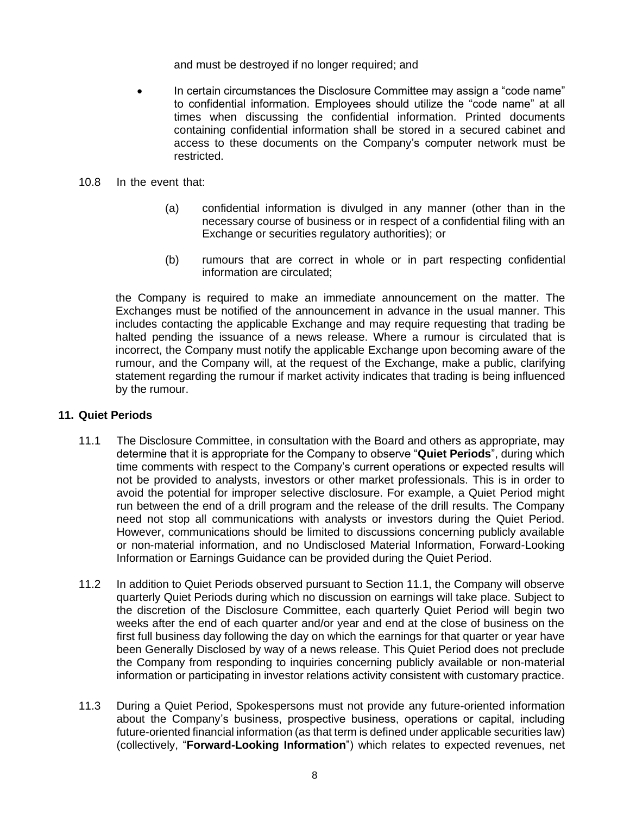and must be destroyed if no longer required; and

- In certain circumstances the Disclosure Committee may assign a "code name" to confidential information. Employees should utilize the "code name" at all times when discussing the confidential information. Printed documents containing confidential information shall be stored in a secured cabinet and access to these documents on the Company's computer network must be restricted.
- 10.8 In the event that:
	- (a) confidential information is divulged in any manner (other than in the necessary course of business or in respect of a confidential filing with an Exchange or securities regulatory authorities); or
	- (b) rumours that are correct in whole or in part respecting confidential information are circulated;

the Company is required to make an immediate announcement on the matter. The Exchanges must be notified of the announcement in advance in the usual manner. This includes contacting the applicable Exchange and may require requesting that trading be halted pending the issuance of a news release. Where a rumour is circulated that is incorrect, the Company must notify the applicable Exchange upon becoming aware of the rumour, and the Company will, at the request of the Exchange, make a public, clarifying statement regarding the rumour if market activity indicates that trading is being influenced by the rumour.

#### **11. Quiet Periods**

- 11.1 The Disclosure Committee, in consultation with the Board and others as appropriate, may determine that it is appropriate for the Company to observe "**Quiet Periods**", during which time comments with respect to the Company's current operations or expected results will not be provided to analysts, investors or other market professionals. This is in order to avoid the potential for improper selective disclosure. For example, a Quiet Period might run between the end of a drill program and the release of the drill results. The Company need not stop all communications with analysts or investors during the Quiet Period. However, communications should be limited to discussions concerning publicly available or non-material information, and no Undisclosed Material Information, Forward-Looking Information or Earnings Guidance can be provided during the Quiet Period.
- 11.2 In addition to Quiet Periods observed pursuant to Section 11.1, the Company will observe quarterly Quiet Periods during which no discussion on earnings will take place. Subject to the discretion of the Disclosure Committee, each quarterly Quiet Period will begin two weeks after the end of each quarter and/or year and end at the close of business on the first full business day following the day on which the earnings for that quarter or year have been Generally Disclosed by way of a news release. This Quiet Period does not preclude the Company from responding to inquiries concerning publicly available or non-material information or participating in investor relations activity consistent with customary practice.
- 11.3 During a Quiet Period, Spokespersons must not provide any future-oriented information about the Company's business, prospective business, operations or capital, including future-oriented financial information (as that term is defined under applicable securities law) (collectively, "**Forward-Looking Information**") which relates to expected revenues, net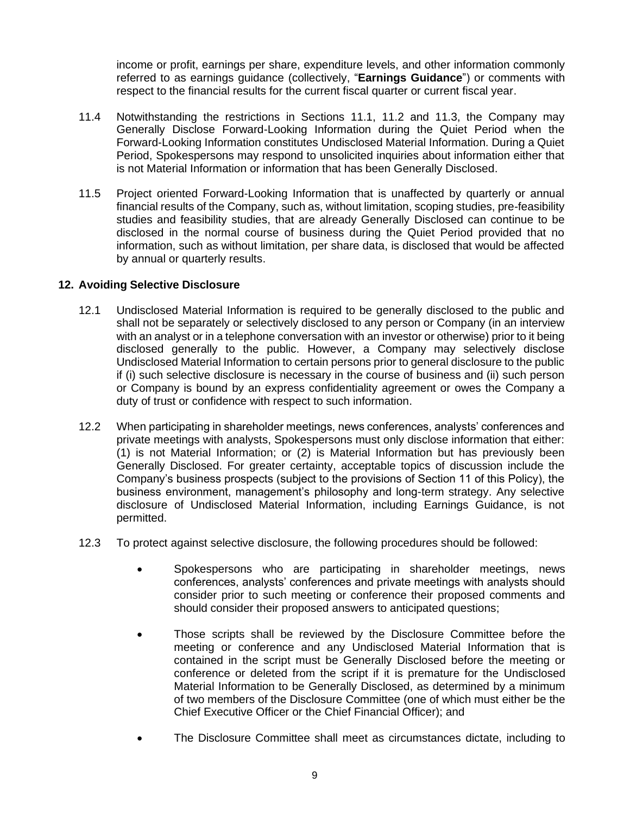income or profit, earnings per share, expenditure levels, and other information commonly referred to as earnings guidance (collectively, "**Earnings Guidance**") or comments with respect to the financial results for the current fiscal quarter or current fiscal year.

- 11.4 Notwithstanding the restrictions in Sections 11.1, 11.2 and 11.3, the Company may Generally Disclose Forward-Looking Information during the Quiet Period when the Forward-Looking Information constitutes Undisclosed Material Information. During a Quiet Period, Spokespersons may respond to unsolicited inquiries about information either that is not Material Information or information that has been Generally Disclosed.
- 11.5 Project oriented Forward-Looking Information that is unaffected by quarterly or annual financial results of the Company, such as, without limitation, scoping studies, pre-feasibility studies and feasibility studies, that are already Generally Disclosed can continue to be disclosed in the normal course of business during the Quiet Period provided that no information, such as without limitation, per share data, is disclosed that would be affected by annual or quarterly results.

# **12. Avoiding Selective Disclosure**

- 12.1 Undisclosed Material Information is required to be generally disclosed to the public and shall not be separately or selectively disclosed to any person or Company (in an interview with an analyst or in a telephone conversation with an investor or otherwise) prior to it being disclosed generally to the public. However, a Company may selectively disclose Undisclosed Material Information to certain persons prior to general disclosure to the public if (i) such selective disclosure is necessary in the course of business and (ii) such person or Company is bound by an express confidentiality agreement or owes the Company a duty of trust or confidence with respect to such information.
- 12.2 When participating in shareholder meetings, news conferences, analysts' conferences and private meetings with analysts, Spokespersons must only disclose information that either: (1) is not Material Information; or (2) is Material Information but has previously been Generally Disclosed. For greater certainty, acceptable topics of discussion include the Company's business prospects (subject to the provisions of Section 11 of this Policy), the business environment, management's philosophy and long-term strategy. Any selective disclosure of Undisclosed Material Information, including Earnings Guidance, is not permitted.
- 12.3 To protect against selective disclosure, the following procedures should be followed:
	- Spokespersons who are participating in shareholder meetings, news conferences, analysts' conferences and private meetings with analysts should consider prior to such meeting or conference their proposed comments and should consider their proposed answers to anticipated questions;
	- Those scripts shall be reviewed by the Disclosure Committee before the meeting or conference and any Undisclosed Material Information that is contained in the script must be Generally Disclosed before the meeting or conference or deleted from the script if it is premature for the Undisclosed Material Information to be Generally Disclosed, as determined by a minimum of two members of the Disclosure Committee (one of which must either be the Chief Executive Officer or the Chief Financial Officer); and
	- The Disclosure Committee shall meet as circumstances dictate, including to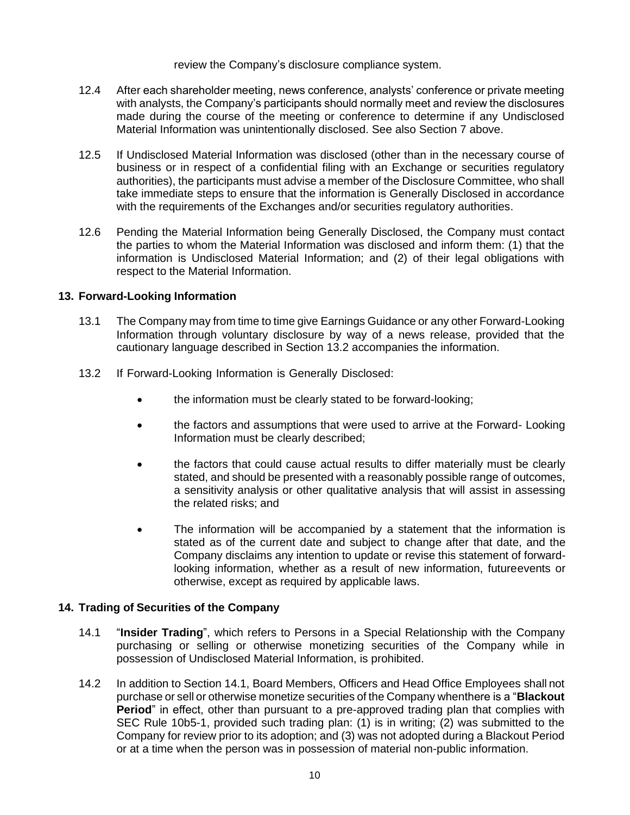review the Company's disclosure compliance system.

- 12.4 After each shareholder meeting, news conference, analysts' conference or private meeting with analysts, the Company's participants should normally meet and review the disclosures made during the course of the meeting or conference to determine if any Undisclosed Material Information was unintentionally disclosed. See also Section 7 above.
- 12.5 If Undisclosed Material Information was disclosed (other than in the necessary course of business or in respect of a confidential filing with an Exchange or securities regulatory authorities), the participants must advise a member of the Disclosure Committee, who shall take immediate steps to ensure that the information is Generally Disclosed in accordance with the requirements of the Exchanges and/or securities regulatory authorities.
- 12.6 Pending the Material Information being Generally Disclosed, the Company must contact the parties to whom the Material Information was disclosed and inform them: (1) that the information is Undisclosed Material Information; and (2) of their legal obligations with respect to the Material Information.

## **13. Forward-Looking Information**

- 13.1 The Company may from time to time give Earnings Guidance or any other Forward-Looking Information through voluntary disclosure by way of a news release, provided that the cautionary language described in Section 13.2 accompanies the information.
- 13.2 If Forward-Looking Information is Generally Disclosed:
	- the information must be clearly stated to be forward-looking;
	- the factors and assumptions that were used to arrive at the Forward- Looking Information must be clearly described;
	- the factors that could cause actual results to differ materially must be clearly stated, and should be presented with a reasonably possible range of outcomes, a sensitivity analysis or other qualitative analysis that will assist in assessing the related risks; and
	- The information will be accompanied by a statement that the information is stated as of the current date and subject to change after that date, and the Company disclaims any intention to update or revise this statement of forwardlooking information, whether as a result of new information, futureevents or otherwise, except as required by applicable laws.

# **14. Trading of Securities of the Company**

- 14.1 "**Insider Trading**", which refers to Persons in a Special Relationship with the Company purchasing or selling or otherwise monetizing securities of the Company while in possession of Undisclosed Material Information, is prohibited.
- 14.2 In addition to Section 14.1, Board Members, Officers and Head Office Employees shall not purchase or sell or otherwise monetize securities of the Company whenthere is a "**Blackout Period**" in effect, other than pursuant to a pre-approved trading plan that complies with SEC Rule 10b5-1, provided such trading plan: (1) is in writing; (2) was submitted to the Company for review prior to its adoption; and (3) was not adopted during a Blackout Period or at a time when the person was in possession of material non-public information.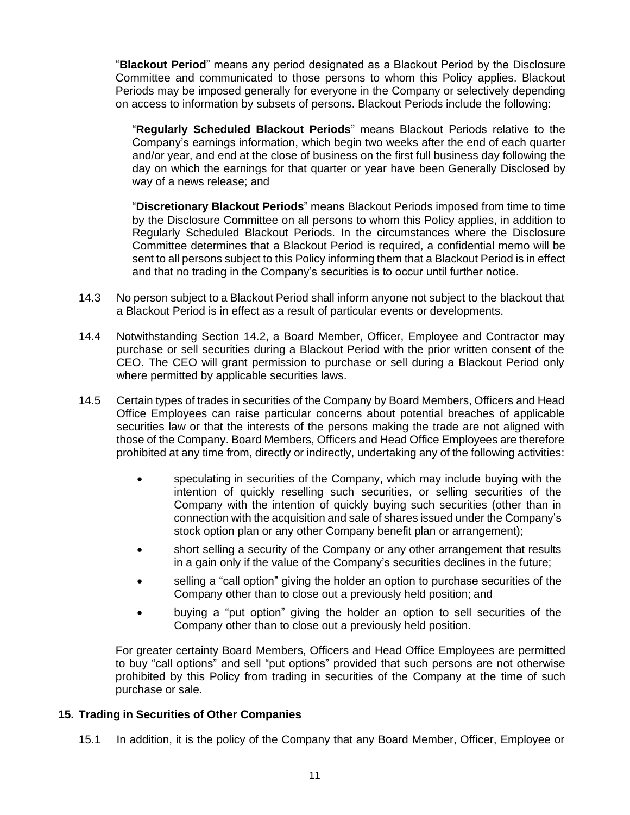"**Blackout Period**" means any period designated as a Blackout Period by the Disclosure Committee and communicated to those persons to whom this Policy applies. Blackout Periods may be imposed generally for everyone in the Company or selectively depending on access to information by subsets of persons. Blackout Periods include the following:

"**Regularly Scheduled Blackout Periods**" means Blackout Periods relative to the Company's earnings information, which begin two weeks after the end of each quarter and/or year, and end at the close of business on the first full business day following the day on which the earnings for that quarter or year have been Generally Disclosed by way of a news release; and

"**Discretionary Blackout Periods**" means Blackout Periods imposed from time to time by the Disclosure Committee on all persons to whom this Policy applies, in addition to Regularly Scheduled Blackout Periods. In the circumstances where the Disclosure Committee determines that a Blackout Period is required, a confidential memo will be sent to all persons subject to this Policy informing them that a Blackout Period is in effect and that no trading in the Company's securities is to occur until further notice.

- 14.3 No person subject to a Blackout Period shall inform anyone not subject to the blackout that a Blackout Period is in effect as a result of particular events or developments.
- 14.4 Notwithstanding Section 14.2, a Board Member, Officer, Employee and Contractor may purchase or sell securities during a Blackout Period with the prior written consent of the CEO. The CEO will grant permission to purchase or sell during a Blackout Period only where permitted by applicable securities laws.
- 14.5 Certain types of trades in securities of the Company by Board Members, Officers and Head Office Employees can raise particular concerns about potential breaches of applicable securities law or that the interests of the persons making the trade are not aligned with those of the Company. Board Members, Officers and Head Office Employees are therefore prohibited at any time from, directly or indirectly, undertaking any of the following activities:
	- speculating in securities of the Company, which may include buying with the intention of quickly reselling such securities, or selling securities of the Company with the intention of quickly buying such securities (other than in connection with the acquisition and sale of shares issued under the Company's stock option plan or any other Company benefit plan or arrangement);
	- short selling a security of the Company or any other arrangement that results in a gain only if the value of the Company's securities declines in the future;
	- selling a "call option" giving the holder an option to purchase securities of the Company other than to close out a previously held position; and
	- buying a "put option" giving the holder an option to sell securities of the Company other than to close out a previously held position.

For greater certainty Board Members, Officers and Head Office Employees are permitted to buy "call options" and sell "put options" provided that such persons are not otherwise prohibited by this Policy from trading in securities of the Company at the time of such purchase or sale.

#### **15. Trading in Securities of Other Companies**

15.1 In addition, it is the policy of the Company that any Board Member, Officer, Employee or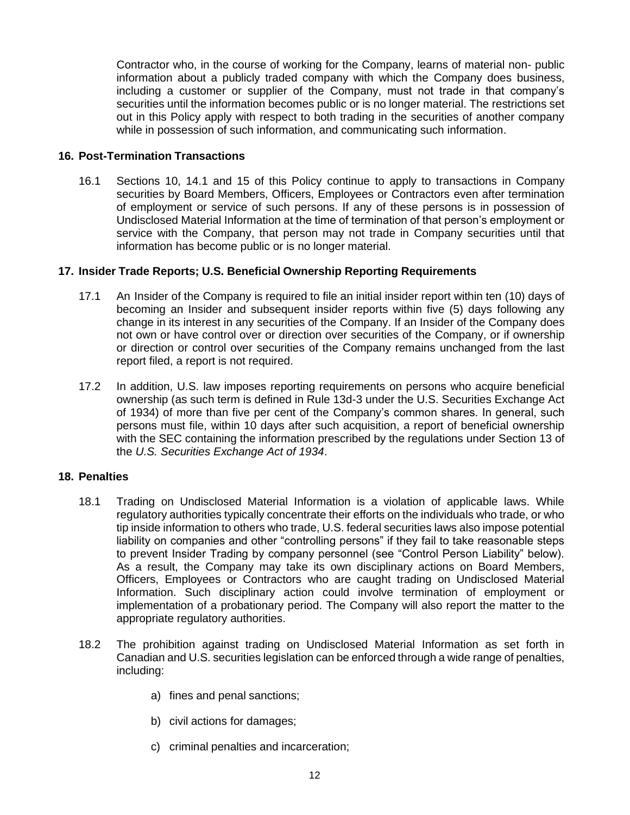Contractor who, in the course of working for the Company, learns of material non- public information about a publicly traded company with which the Company does business, including a customer or supplier of the Company, must not trade in that company's securities until the information becomes public or is no longer material. The restrictions set out in this Policy apply with respect to both trading in the securities of another company while in possession of such information, and communicating such information.

### **16. Post-Termination Transactions**

16.1 Sections 10, 14.1 and 15 of this Policy continue to apply to transactions in Company securities by Board Members, Officers, Employees or Contractors even after termination of employment or service of such persons. If any of these persons is in possession of Undisclosed Material Information at the time of termination of that person's employment or service with the Company, that person may not trade in Company securities until that information has become public or is no longer material.

## **17. Insider Trade Reports; U.S. Beneficial Ownership Reporting Requirements**

- 17.1 An Insider of the Company is required to file an initial insider report within ten (10) days of becoming an Insider and subsequent insider reports within five (5) days following any change in its interest in any securities of the Company. If an Insider of the Company does not own or have control over or direction over securities of the Company, or if ownership or direction or control over securities of the Company remains unchanged from the last report filed, a report is not required.
- 17.2 In addition, U.S. law imposes reporting requirements on persons who acquire beneficial ownership (as such term is defined in Rule 13d-3 under the U.S. Securities Exchange Act of 1934) of more than five per cent of the Company's common shares. In general, such persons must file, within 10 days after such acquisition, a report of beneficial ownership with the SEC containing the information prescribed by the regulations under Section 13 of the *U.S. Securities Exchange Act of 1934*.

#### **18. Penalties**

- 18.1 Trading on Undisclosed Material Information is a violation of applicable laws. While regulatory authorities typically concentrate their efforts on the individuals who trade, or who tip inside information to others who trade, U.S. federal securities laws also impose potential liability on companies and other "controlling persons" if they fail to take reasonable steps to prevent Insider Trading by company personnel (see "Control Person Liability" below). As a result, the Company may take its own disciplinary actions on Board Members, Officers, Employees or Contractors who are caught trading on Undisclosed Material Information. Such disciplinary action could involve termination of employment or implementation of a probationary period. The Company will also report the matter to the appropriate regulatory authorities.
- 18.2 The prohibition against trading on Undisclosed Material Information as set forth in Canadian and U.S. securities legislation can be enforced through a wide range of penalties, including:
	- a) fines and penal sanctions;
	- b) civil actions for damages;
	- c) criminal penalties and incarceration;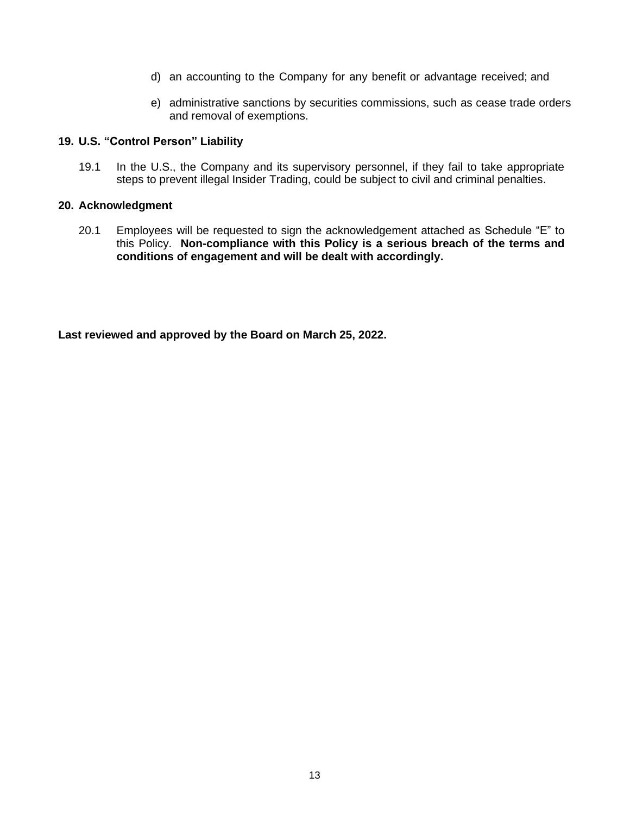- d) an accounting to the Company for any benefit or advantage received; and
- e) administrative sanctions by securities commissions, such as cease trade orders and removal of exemptions.

#### **19. U.S. "Control Person" Liability**

19.1 In the U.S., the Company and its supervisory personnel, if they fail to take appropriate steps to prevent illegal Insider Trading, could be subject to civil and criminal penalties.

#### **20. Acknowledgment**

20.1 Employees will be requested to sign the acknowledgement attached as Schedule "E" to this Policy. **Non-compliance with this Policy is a serious breach of the terms and conditions of engagement and will be dealt with accordingly.**

**Last reviewed and approved by the Board on March 25, 2022.**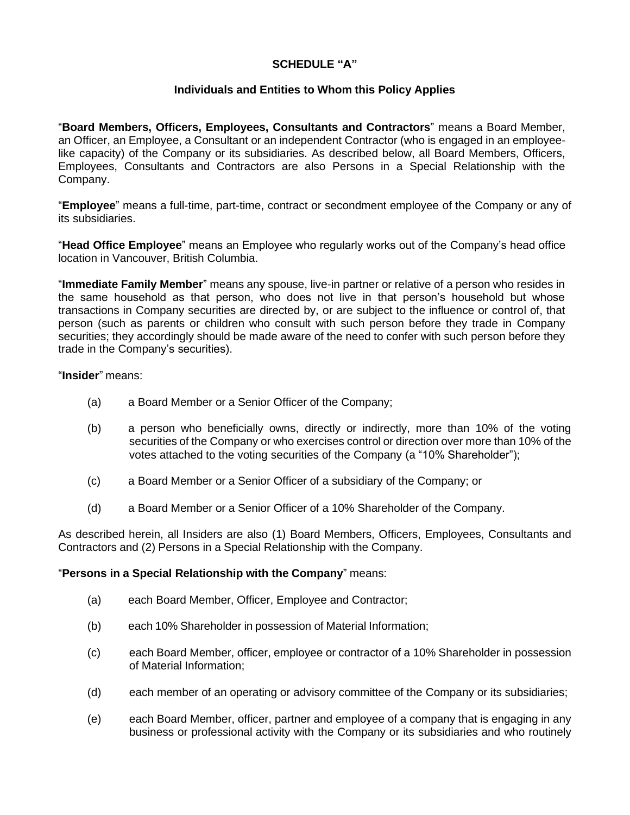# **SCHEDULE "A"**

# **Individuals and Entities to Whom this Policy Applies**

"**Board Members, Officers, Employees, Consultants and Contractors**" means a Board Member, an Officer, an Employee, a Consultant or an independent Contractor (who is engaged in an employeelike capacity) of the Company or its subsidiaries. As described below, all Board Members, Officers, Employees, Consultants and Contractors are also Persons in a Special Relationship with the Company.

"**Employee**" means a full-time, part-time, contract or secondment employee of the Company or any of its subsidiaries.

"**Head Office Employee**" means an Employee who regularly works out of the Company's head office location in Vancouver, British Columbia.

"**Immediate Family Member**" means any spouse, live-in partner or relative of a person who resides in the same household as that person, who does not live in that person's household but whose transactions in Company securities are directed by, or are subject to the influence or control of, that person (such as parents or children who consult with such person before they trade in Company securities; they accordingly should be made aware of the need to confer with such person before they trade in the Company's securities).

#### "**Insider**" means:

- (a) a Board Member or a Senior Officer of the Company;
- (b) a person who beneficially owns, directly or indirectly, more than 10% of the voting securities of the Company or who exercises control or direction over more than 10% of the votes attached to the voting securities of the Company (a "10% Shareholder");
- (c) a Board Member or a Senior Officer of a subsidiary of the Company; or
- (d) a Board Member or a Senior Officer of a 10% Shareholder of the Company.

As described herein, all Insiders are also (1) Board Members, Officers, Employees, Consultants and Contractors and (2) Persons in a Special Relationship with the Company.

#### "**Persons in a Special Relationship with the Company**" means:

- (a) each Board Member, Officer, Employee and Contractor;
- (b) each 10% Shareholder in possession of Material Information;
- (c) each Board Member, officer, employee or contractor of a 10% Shareholder in possession of Material Information;
- (d) each member of an operating or advisory committee of the Company or its subsidiaries;
- (e) each Board Member, officer, partner and employee of a company that is engaging in any business or professional activity with the Company or its subsidiaries and who routinely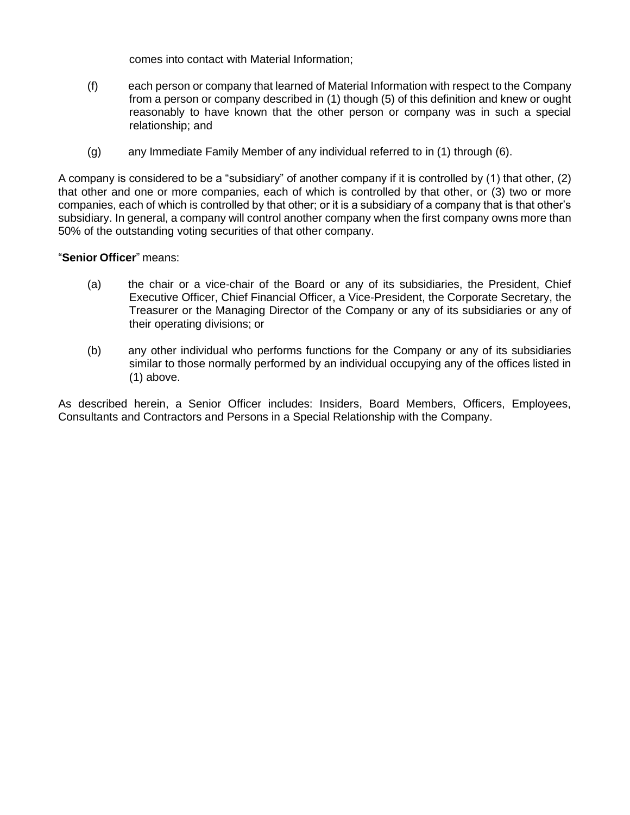comes into contact with Material Information;

- (f) each person or company that learned of Material Information with respect to the Company from a person or company described in (1) though (5) of this definition and knew or ought reasonably to have known that the other person or company was in such a special relationship; and
- (g) any Immediate Family Member of any individual referred to in (1) through (6).

A company is considered to be a "subsidiary" of another company if it is controlled by (1) that other, (2) that other and one or more companies, each of which is controlled by that other, or (3) two or more companies, each of which is controlled by that other; or it is a subsidiary of a company that is that other's subsidiary. In general, a company will control another company when the first company owns more than 50% of the outstanding voting securities of that other company.

# "**Senior Officer**" means:

- (a) the chair or a vice-chair of the Board or any of its subsidiaries, the President, Chief Executive Officer, Chief Financial Officer, a Vice-President, the Corporate Secretary, the Treasurer or the Managing Director of the Company or any of its subsidiaries or any of their operating divisions; or
- (b) any other individual who performs functions for the Company or any of its subsidiaries similar to those normally performed by an individual occupying any of the offices listed in (1) above.

As described herein, a Senior Officer includes: Insiders, Board Members, Officers, Employees, Consultants and Contractors and Persons in a Special Relationship with the Company.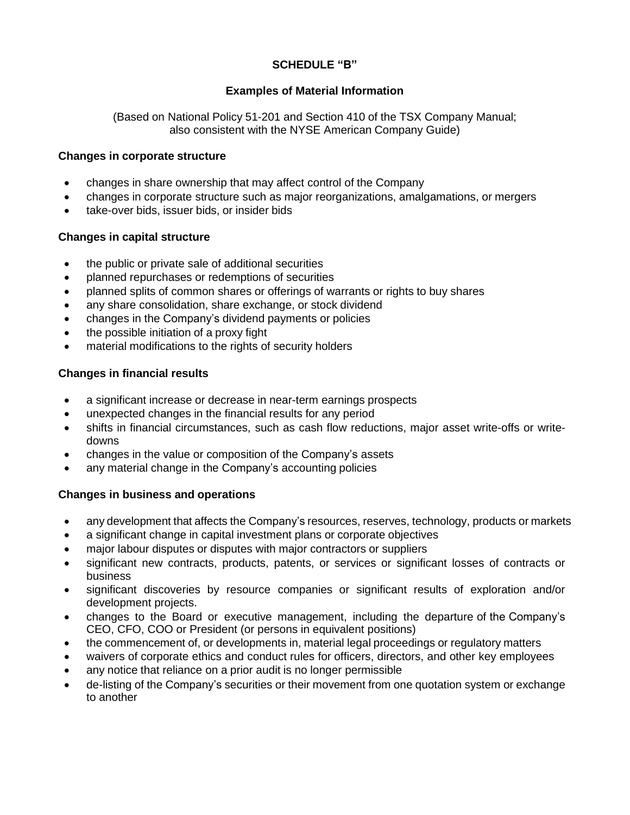# **SCHEDULE "B"**

# **Examples of Material Information**

(Based on National Policy 51-201 and Section 410 of the TSX Company Manual; also consistent with the NYSE American Company Guide)

## **Changes in corporate structure**

- changes in share ownership that may affect control of the Company
- changes in corporate structure such as major reorganizations, amalgamations, or mergers
- take-over bids, issuer bids, or insider bids

## **Changes in capital structure**

- the public or private sale of additional securities
- planned repurchases or redemptions of securities
- planned splits of common shares or offerings of warrants or rights to buy shares
- any share consolidation, share exchange, or stock dividend
- changes in the Company's dividend payments or policies
- the possible initiation of a proxy fight
- material modifications to the rights of security holders

# **Changes in financial results**

- a significant increase or decrease in near-term earnings prospects
- unexpected changes in the financial results for any period
- shifts in financial circumstances, such as cash flow reductions, major asset write-offs or writedowns
- changes in the value or composition of the Company's assets
- any material change in the Company's accounting policies

# **Changes in business and operations**

- any development that affects the Company's resources, reserves, technology, products or markets
- a significant change in capital investment plans or corporate objectives
- major labour disputes or disputes with major contractors or suppliers
- significant new contracts, products, patents, or services or significant losses of contracts or business
- significant discoveries by resource companies or significant results of exploration and/or development projects.
- changes to the Board or executive management, including the departure of the Company's CEO, CFO, COO or President (or persons in equivalent positions)
- the commencement of, or developments in, material legal proceedings or regulatory matters
- waivers of corporate ethics and conduct rules for officers, directors, and other key employees
- any notice that reliance on a prior audit is no longer permissible
- de-listing of the Company's securities or their movement from one quotation system or exchange to another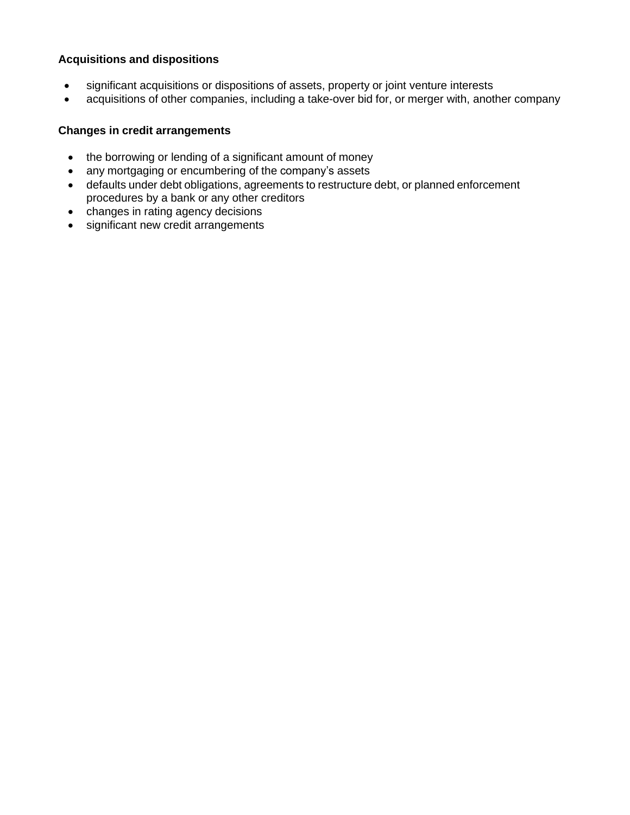# **Acquisitions and dispositions**

- significant acquisitions or dispositions of assets, property or joint venture interests
- acquisitions of other companies, including a take-over bid for, or merger with, another company

# **Changes in credit arrangements**

- the borrowing or lending of a significant amount of money
- any mortgaging or encumbering of the company's assets
- defaults under debt obligations, agreements to restructure debt, or planned enforcement procedures by a bank or any other creditors
- changes in rating agency decisions
- significant new credit arrangements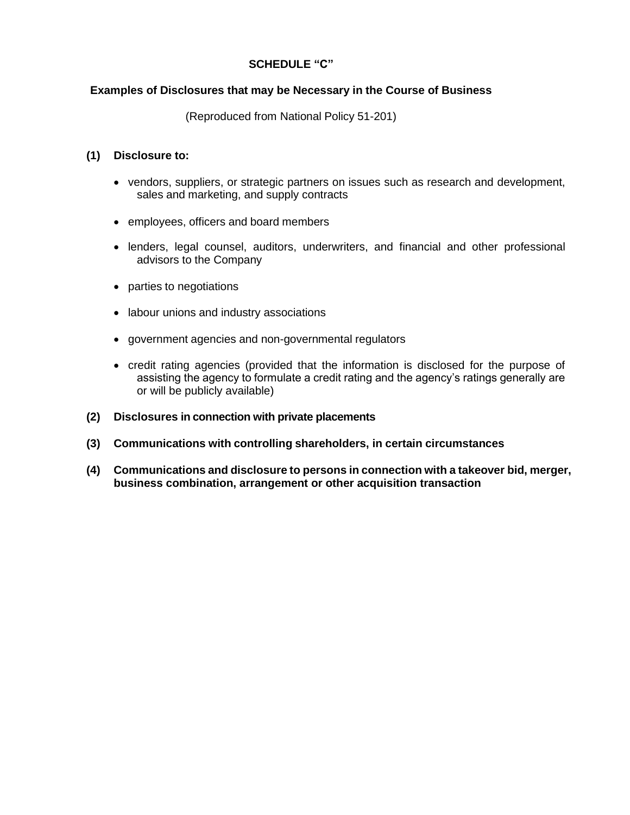## **SCHEDULE "C"**

## **Examples of Disclosures that may be Necessary in the Course of Business**

(Reproduced from National Policy 51-201)

## **(1) Disclosure to:**

- vendors, suppliers, or strategic partners on issues such as research and development, sales and marketing, and supply contracts
- employees, officers and board members
- lenders, legal counsel, auditors, underwriters, and financial and other professional advisors to the Company
- parties to negotiations
- labour unions and industry associations
- government agencies and non-governmental regulators
- credit rating agencies (provided that the information is disclosed for the purpose of assisting the agency to formulate a credit rating and the agency's ratings generally are or will be publicly available)
- **(2) Disclosures in connection with private placements**
- **(3) Communications with controlling shareholders, in certain circumstances**
- **(4) Communications and disclosure to persons in connection with a takeover bid, merger, business combination, arrangement or other acquisition transaction**